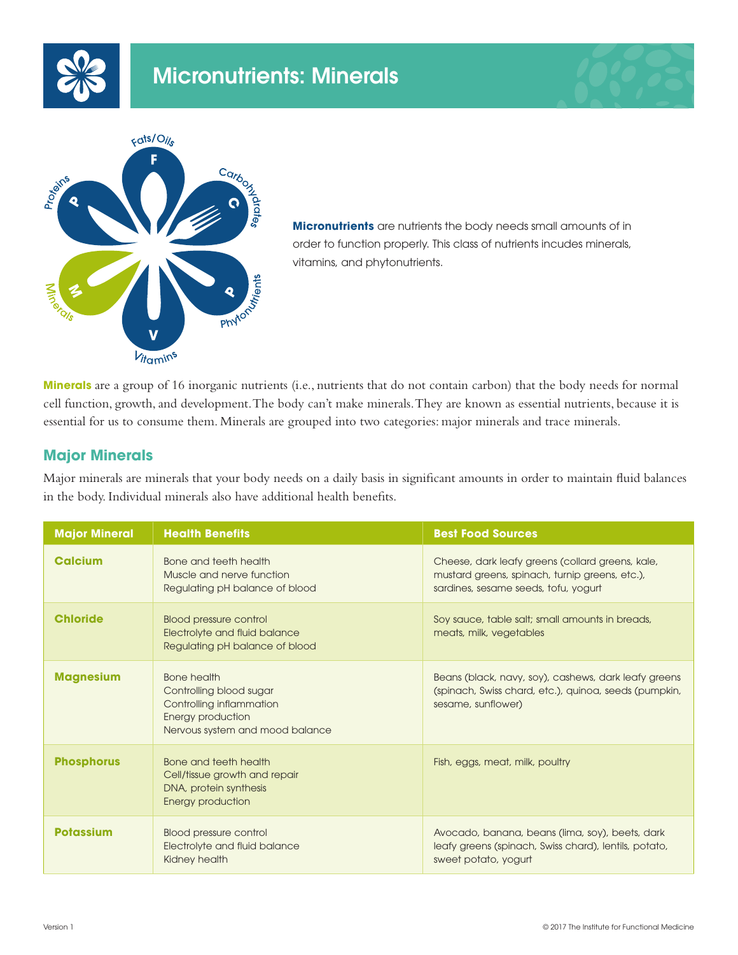





**Micronutrients** are nutrients the body needs small amounts of in order to function properly. This class of nutrients incudes minerals, vitamins, and phytonutrients.

**Minerals** are a group of 16 inorganic nutrients (i.e., nutrients that do not contain carbon) that the body needs for normal cell function, growth, and development. The body can't make minerals. They are known as essential nutrients, because it is essential for us to consume them. Minerals are grouped into two categories: major minerals and trace minerals.

## **Major Minerals**

Major minerals are minerals that your body needs on a daily basis in significant amounts in order to maintain fluid balances in the body. Individual minerals also have additional health benefits.

| <b>Major Mineral</b> | <b>Health Benefits</b>                                                                                                            | <b>Best Food Sources</b>                                                                                                                   |
|----------------------|-----------------------------------------------------------------------------------------------------------------------------------|--------------------------------------------------------------------------------------------------------------------------------------------|
| <b>Calcium</b>       | Bone and teeth health<br>Muscle and nerve function<br>Regulating pH balance of blood                                              | Cheese, dark leafy greens (collard greens, kale,<br>mustard greens, spinach, turnip greens, etc.),<br>sardines, sesame seeds, tofu, yogurt |
| <b>Chloride</b>      | <b>Blood pressure control</b><br>Electrolyte and fluid balance<br>Regulating pH balance of blood                                  | Soy sauce, table salt; small amounts in breads,<br>meats, milk, vegetables                                                                 |
| <b>Magnesium</b>     | <b>Bone health</b><br>Controlling blood sugar<br>Controlling inflammation<br>Energy production<br>Nervous system and mood balance | Beans (black, navy, soy), cashews, dark leafy greens<br>(spinach, Swiss chard, etc.), quinoa, seeds (pumpkin,<br>sesame, sunflower)        |
| <b>Phosphorus</b>    | Bone and teeth health<br>Cell/tissue growth and repair<br>DNA, protein synthesis<br><b>Energy production</b>                      | Fish, eggs, meat, milk, poultry                                                                                                            |
| <b>Potassium</b>     | <b>Blood pressure control</b><br>Electrolyte and fluid balance<br>Kidney health                                                   | Avocado, banana, beans (lima, soy), beets, dark<br>leafy greens (spinach, Swiss chard), lentils, potato,<br>sweet potato, yogurt           |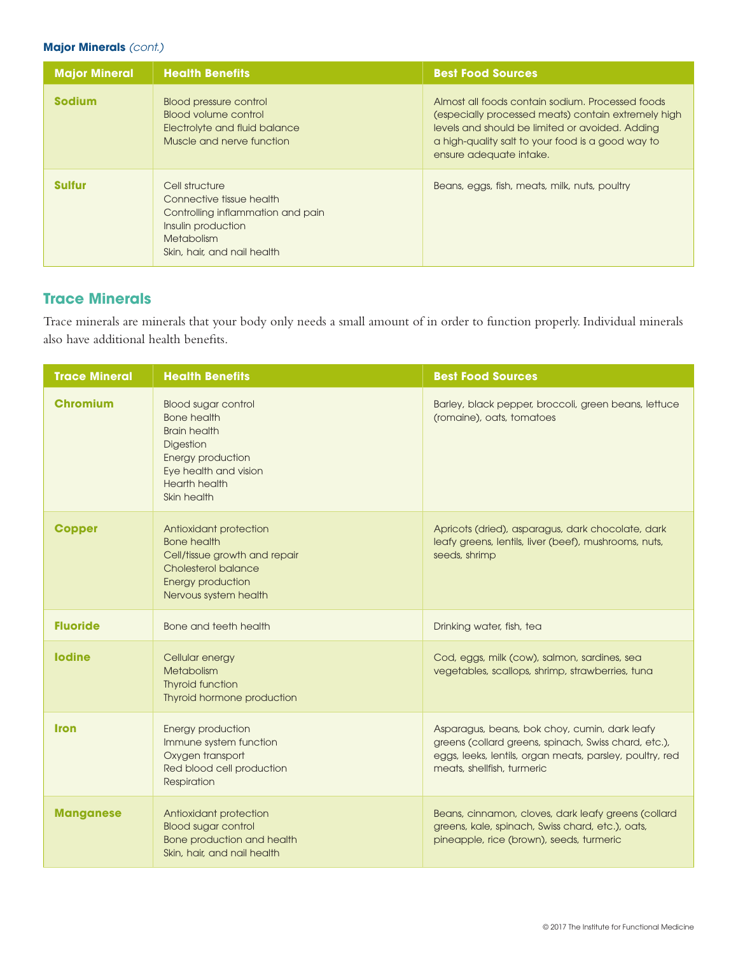### **Major Minerals** *(cont.)*

| <b>Major Mineral</b> | <b>Health Benefits</b>                                                                                                                                    | <b>Best Food Sources</b>                                                                                                                                                                                                                   |
|----------------------|-----------------------------------------------------------------------------------------------------------------------------------------------------------|--------------------------------------------------------------------------------------------------------------------------------------------------------------------------------------------------------------------------------------------|
| <b>Sodium</b>        | <b>Blood pressure control</b><br>Blood volume control<br>Electrolyte and fluid balance<br>Muscle and nerve function                                       | Almost all foods contain sodium. Processed foods<br>(especially processed meats) contain extremely high<br>levels and should be limited or avoided. Adding<br>a high-quality salt to your food is a good way to<br>ensure adequate intake. |
| <b>Sulfur</b>        | Cell structure<br>Connective tissue health<br>Controlling inflammation and pain<br>Insulin production<br><b>Metabolism</b><br>Skin, hair, and nail health | Beans, eggs, fish, meats, milk, nuts, poultry                                                                                                                                                                                              |

# **Trace Minerals**

Trace minerals are minerals that your body only needs a small amount of in order to function properly. Individual minerals also have additional health benefits.

| <b>Trace Mineral</b> | <b>Health Benefits</b>                                                                                                                                             | <b>Best Food Sources</b>                                                                                                                                                                        |
|----------------------|--------------------------------------------------------------------------------------------------------------------------------------------------------------------|-------------------------------------------------------------------------------------------------------------------------------------------------------------------------------------------------|
| <b>Chromium</b>      | <b>Blood sugar control</b><br><b>Bone health</b><br><b>Brain health</b><br>Digestion<br>Energy production<br>Eye health and vision<br>Hearth health<br>Skin health | Barley, black pepper, broccoli, green beans, lettuce<br>(romaine), oats, tomatoes                                                                                                               |
| <b>Copper</b>        | Antioxidant protection<br><b>Bone health</b><br>Cell/tissue growth and repair<br>Cholesterol balance<br><b>Energy production</b><br>Nervous system health          | Apricots (dried), asparagus, dark chocolate, dark<br>leafy greens, lentils, liver (beef), mushrooms, nuts,<br>seeds, shrimp                                                                     |
| <b>Fluoride</b>      | Bone and teeth health                                                                                                                                              | Drinking water, fish, tea                                                                                                                                                                       |
| <b>lodine</b>        | Cellular energy<br>Metabolism<br><b>Thyroid function</b><br>Thyroid hormone production                                                                             | Cod, eggs, milk (cow), salmon, sardines, sea<br>vegetables, scallops, shrimp, strawberries, tuna                                                                                                |
| <b>Iron</b>          | Energy production<br>Immune system function<br>Oxygen transport<br>Red blood cell production<br>Respiration                                                        | Asparagus, beans, bok choy, cumin, dark leafy<br>greens (collard greens, spinach, Swiss chard, etc.),<br>eggs, leeks, lentils, organ meats, parsley, poultry, red<br>meats, shellfish, turmeric |
| <b>Manganese</b>     | Antioxidant protection<br><b>Blood sugar control</b><br>Bone production and health<br>Skin, hair, and nail health                                                  | Beans, cinnamon, cloves, dark leafy greens (collard<br>greens, kale, spinach, Swiss chard, etc.), oats,<br>pineapple, rice (brown), seeds, turmeric                                             |